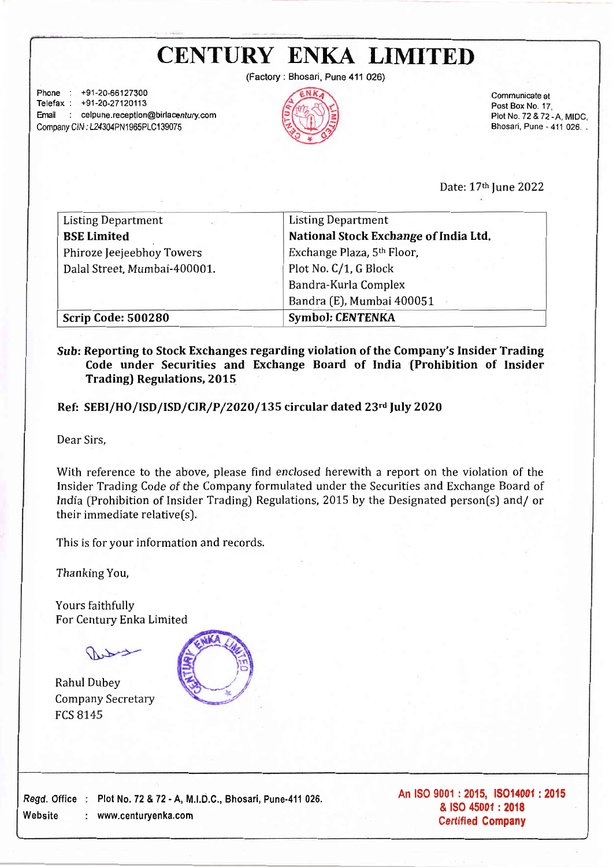(Factory: Bhosari, Pune 411 026)

Phone : +91-20-66127900 Telefax : +91-20-27120113 Email : celpune.reception@birlacentury.com Company CIN : L24304PN1965PLC139075



Communicate at Post Box No. 17, Plot No. 72&72-A.MIDC. Bhosari, Pune - 411 026. .

Date: 17th Iune 2022

| <b>Listing Department</b><br>451 | <b>Listing Department</b>             |
|----------------------------------|---------------------------------------|
| <b>BSE Limited</b>               | National Stock Exchange of India Ltd. |
| Phiroze Jeejeebhoy Towers        | Exchange Plaza, 5th Floor,            |
| Dalal Street, Mumbai-400001.     | Plot No. C/1, G Block                 |
|                                  | Bandra-Kurla Complex                  |
|                                  | Bandra (E), Mumbai 400051             |
| <b>Scrip Code: 500280</b>        | <b>Symbol: CENTENKA</b>               |

#### Sub: Reporting to Stock Exchanges regarding violation of the Company's Insider Trading Code under Securities and Exchange Board of India fProhibition of Insider Trading) Regulations, 2015

Ref: SEBI/HO/ISD/ISD/CIR/P/2020/L35 circular dated 23rd July 2O2O

Dear Sirs,

With reference to the above, please find enclosed herewith a report on the violation of the Insider Trading Code of the Company formulated under the Securities and Exchange Board of India (Prohibition of Insider Trading) Regulations, 2015 by the Designated person[s) and/ or their immediate relative(s).

This is for your information and records.

Thanking You,

Yours faithfully For Century Enka Limited

*Add* 

Rahul Dubey Company Secretary FCS 8145

Website



Regd, Office Plot No. 72 &72 - A, M.l.D,C., Bhosari, Pune'411 026. www.centuryenka.com

An ISO 9001 : 2015, ISO14001 : 2015 & ISO 45001: 2018 Certified Company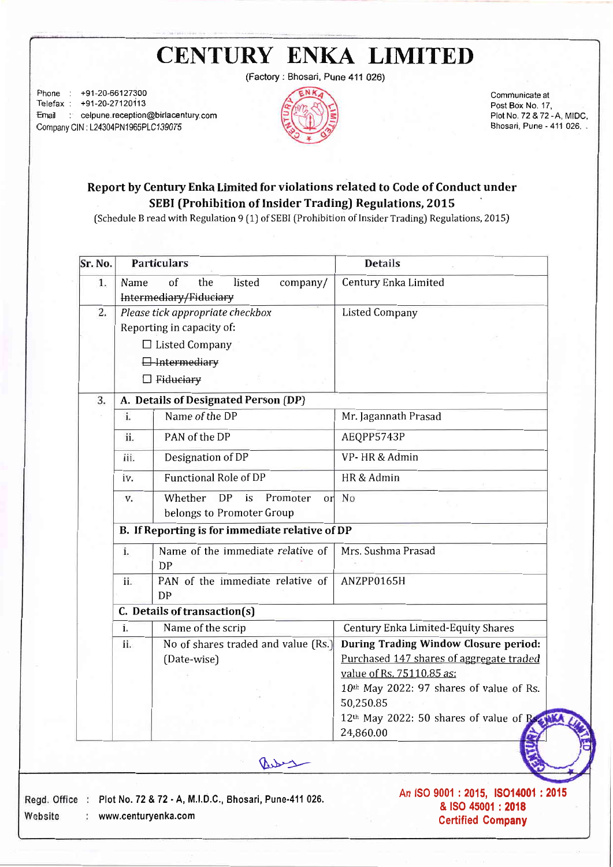(Factory : Bhosari, Pune 411 026)

Phone : +91-20-66127300 Telefax : +91-20-27120113 Email : celpune.reception@birlacentury.com Company CIN : L24304PN1965PLC139075



Comrnunicate at Post Box No. 17, Plot No. 72 &72 -A, MIDC. Bhosari, Pune - 411 026. .

### Report by Century Enka Limited for violations related to Code of Conduct under SEBI (Prohibition of Insider Trading) Regulations, 2015

(schedule B read with Regulation 9 [1) of SEBI (Prohibition of Insider Trading) Regulations, 2015J

| Sr. No. | <b>Particulars</b>                                                              | <b>Details</b>                                            |
|---------|---------------------------------------------------------------------------------|-----------------------------------------------------------|
| 1.      | of<br>listed<br>Name<br>the<br>company/<br>Intermediary/Fiduciary               | Century Enka Limited                                      |
| 2.      | Please tick appropriate checkbox                                                | <b>Listed Company</b>                                     |
|         | Reporting in capacity of:                                                       |                                                           |
|         | $\Box$ Listed Company                                                           |                                                           |
|         | <b>H</b> htermediary                                                            |                                                           |
|         | $\Box$ Fiduciary                                                                |                                                           |
| 3.      | A. Details of Designated Person (DP)                                            |                                                           |
|         | i.<br>Name of the DP                                                            | Mr. Jagannath Prasad                                      |
|         | PAN of the DP<br>ii.                                                            | AEQPP5743P                                                |
|         | Designation of DP<br>iii.                                                       | VP-HR & Admin                                             |
|         | <b>Functional Role of DP</b><br>iv.                                             | HR & Admin                                                |
|         | Whether<br><b>DP</b><br>is<br>Promoter<br>or<br>V.<br>belongs to Promoter Group | No                                                        |
|         | B. If Reporting is for immediate relative of DP                                 |                                                           |
|         | Name of the immediate relative of<br>i.<br><b>DP</b>                            | Mrs. Sushma Prasad                                        |
|         | PAN of the immediate relative of<br>ii.<br><b>DP</b>                            | ANZPP0165H                                                |
|         | C. Details of transaction(s)                                                    |                                                           |
|         | Name of the scrip<br>i.                                                         | Century Enka Limited-Equity Shares                        |
|         | No of shares traded and value (Rs.)<br>ii.                                      | <b>During Trading Window Closure period:</b>              |
|         | (Date-wise)                                                                     | Purchased 147 shares of aggregate traded                  |
|         |                                                                                 | value of Rs. 75110.85 as:                                 |
|         |                                                                                 | 10th May 2022: 97 shares of value of Rs.                  |
|         |                                                                                 | 50,250.85                                                 |
|         |                                                                                 | 12th May 2022: 50 shares of value of Regular<br>24,860.00 |
|         |                                                                                 |                                                           |
|         | ave                                                                             |                                                           |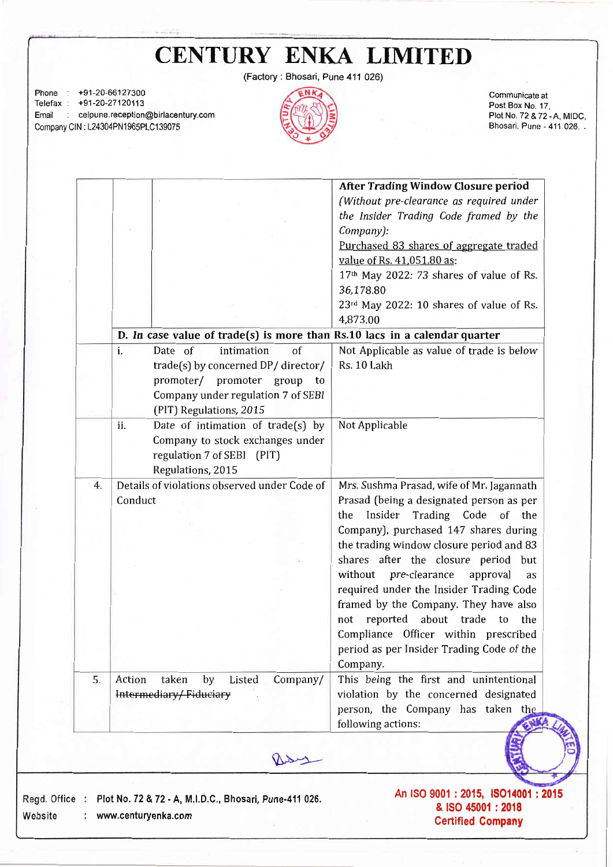(Factory : Bhosari, Pune 411 026) Phone : +91-20-6612730O Communicate at Telefax : +91-20-27120113 Post Box No. 17, Email : celpune.reception@birlacentury.com Plot No. 72&72 -A. MIDC. Company CIN : L24304PN1965PLC139075 Bhosari, Pune - 411 026. . After Trading Window Closure period ċ, (Without pre-cleorance as required under the Insider Trading Code framed by the Company): Purchased 83 shares of aggregate traded value of Rs.41,051,80 as: 17th May 2022: 73 shares of value of Rs. 36.178.80  $23<sup>rd</sup>$  May 2022: 10 shares of value of Rs. 4,873.00 D. In case value of trade(s) is more than Rs.10 lacs in a calendar quarter i. Date of intimation of Not Applicable as value of trade is below trade[s) by concerned DP/ director/ Rs. 10 Lakh promoter/ promoter group to Company under regulation 7 of SEBI (PIT) Regulations, 2015 ii. Date of intimation of trade(s) by Not Applicable Company to stock exchanges under regulation 7 of SEBI [PIT) Regulations, 2015 Details of violations observed under Code of  $4.$ Mrs. Sushma Prasad, wife of Mr. Jagannath Conduct Prasad [being a designated person as per the Insider Trading Code of the CompanyJ, purchased 147 shares during the trading window closure period and 83 shares after the closure period but without pre-clearance approval as required under the Insider Trading Code framed by the Company. They have also not reported about trade to the Compliance Officer within prescribed period as per Insider Trading Code of the Company. 5. Action taken by Listed CompanY/ This being the first and unintentional Intermediary/Fiduciary violation by the concerned designated person, the Company has taken the following actions: asy An ISO 9001 : 2015, ISO14001 : 2015 Regd. Office : Plot No. 72 & 72 - A, M.I.D.C., Bhosari, Pune-411 026. & ISO 45001 :20i8 Website www.centuryenka.com Certified Company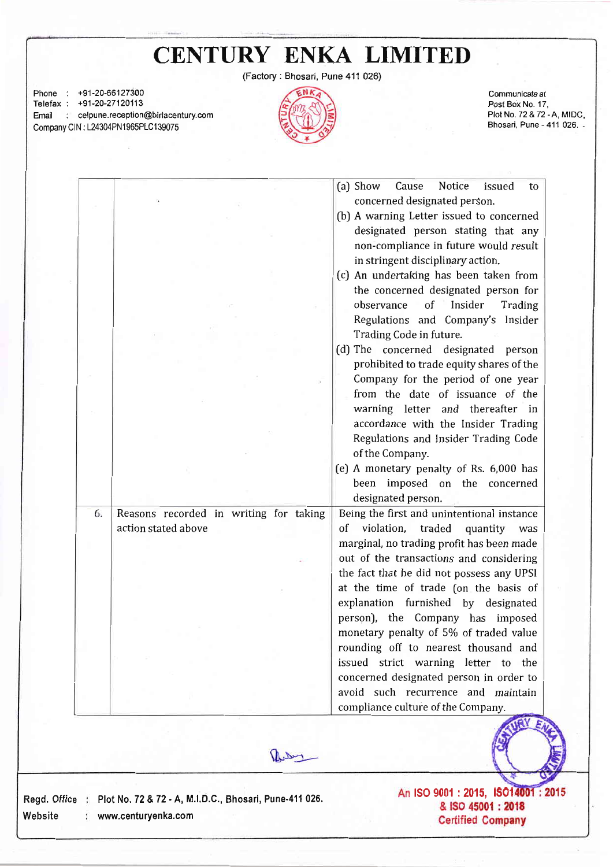| <b>CENTURY ENKA LIMITED</b> |  |
|-----------------------------|--|
|-----------------------------|--|

(Factory: Bhosari, Pune 411 026)

Phone : +91-20-66127300 Communicate at Telefax : +91-20-27120113 Post Box No. 17. PlotNo.72&72 -A, MIDC, Email : celpune.reception@birlacentury.com Bhosari, Pune - 411 026. . Company CIN : L24304PN1965PLC139075 (a) Show Cause Notice issued to concerned designated person. [b) A warning Letter issued to concerned designated person stating that any non-compliance in future would result in stringent disciplinary action. (c) An undertaking has been taken from the concerned designated person for observance of Insider Trading Regulations and Company's Insider Trading Code in future. (d) The concerned designated person prohibited to trade equity shares of the Company for the period of one year from the date of issuance of the warning letter and thereafter in accordance with the Insider Trading Regulations and Insider Trading Code of the Company. [e) A monetary penalty of Rs. 6,000 has been imposed on the concerned designated person. Being the first and unintentional instance 6. Reasons recorded in writing for taking action stated above of violation, traded quantity was marginal, no trading profit has been made out of the transactions and considering the fact that he did not possess any UPSI at the time of trade [on the basis of explanation furnished by designated person), the Company has imposed monetary penalty of 5% of traded value rounding off to nearest thousand and issued strict warning letter to the concerned designated person in order to avoid such recurrence and maintain compliance culture of the Company.



Regd. Office : Plot No. 72 & 72 - A, M.I.D.C., Website www.centuryenka.com

An ISO 9001 : 2015, ISO 14001 : 2015<br>& ISO 45001 : 2018 **Certified Company**